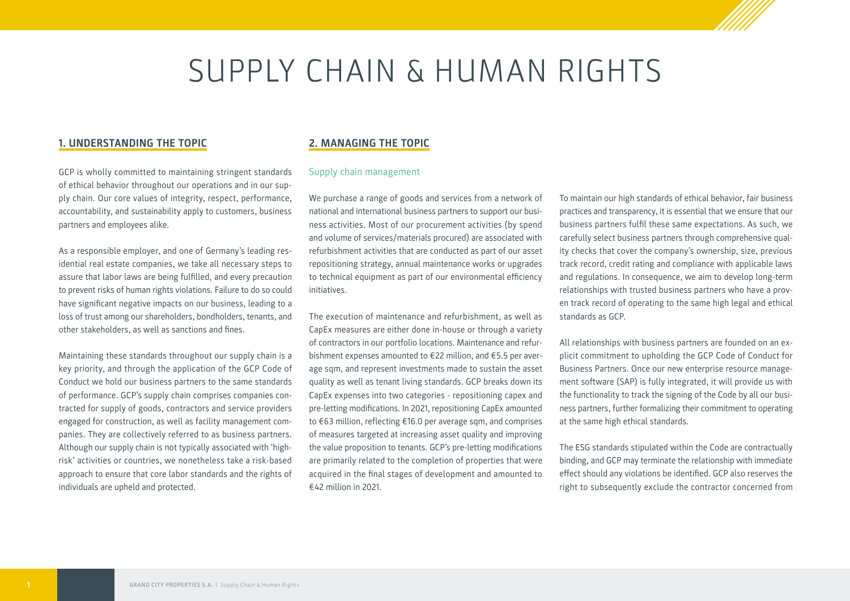# SUPPLY CHAIN & HUMAN RIGHTS

### **1. UNDERSTANDING THE TOPIC**

GCP is wholly committed to maintaining stringent standards of ethical behavior throughout our operations and in our supply chain. Our core values of integrity, respect, performance, accountability, and sustainability apply to customers, business partners and employees alike.

As a responsible employer, and one of Germany's leading residential real estate companies, we take all necessary steps to assure that labor laws are being fulfilled, and every precaution to prevent risks of human rights violations. Failure to do so could have significant negative impacts on our business, leading to a loss of trust among our shareholders, bondholders, tenants, and other stakeholders, as well as sanctions and fines.

Maintaining these standards throughout our supply chain is a key priority, and through the application of the GCP Code of Conduct we hold our business partners to the same standards of performance. GCP's supply chain comprises companies contracted for supply of goods, contractors and service providers engaged for construction, as well as facility management companies. They are collectively referred to as business partners. Although our supply chain is not typically associated with 'highrisk' activities or countries, we nonetheless take a risk-based approach to ensure that core labor standards and the rights of individuals are upheld and protected.

## **2. MANAGING THE TOPIC**

#### Supply chain management

We purchase a range of goods and services from a network of national and international business partners to support our business activities. Most of our procurement activities (by spend and volume of services/materials procured) are associated with refurbishment activities that are conducted as part of our asset repositioning strategy, annual maintenance works or upgrades to technical equipment as part of our environmental efficiency initiatives.

The execution of maintenance and refurbishment, as well as CapEx measures are either done in-house or through a variety of contractors in our portfolio locations. Maintenance and refurbishment expenses amounted to €22 million, and €5.5 per average sqm, and represent investments made to sustain the asset quality as well as tenant living standards. GCP breaks down its CapEx expenses into two categories - repositioning capex and pre-letting modifications. In 2021, repositioning CapEx amounted to €63 million, reflecting €16.0 per average sqm, and comprises of measures targeted at increasing asset quality and improving the value proposition to tenants. GCP's pre-letting modifications are primarily related to the completion of properties that were acquired in the final stages of development and amounted to €42 million in 2021.

To maintain our high standards of ethical behavior, fair business practices and transparency, it is essential that we ensure that our business partners fulfil these same expectations. As such, we carefully select business partners through comprehensive quality checks that cover the company's ownership, size, previous track record, credit rating and compliance with applicable laws and regulations. In consequence, we aim to develop long-term relationships with trusted business partners who have a proven track record of operating to the same high legal and ethical standards as GCP.

All relationships with business partners are founded on an explicit commitment to upholding the GCP Code of Conduct for Business Partners. Once our new enterprise resource management software (SAP) is fully integrated, it will provide us with the functionality to track the signing of the Code by all our business partners, further formalizing their commitment to operating at the same high ethical standards.

The ESG standards stipulated within the Code are contractually binding, and GCP may terminate the relationship with immediate effect should any violations be identified. GCP also reserves the right to subsequently exclude the contractor concerned from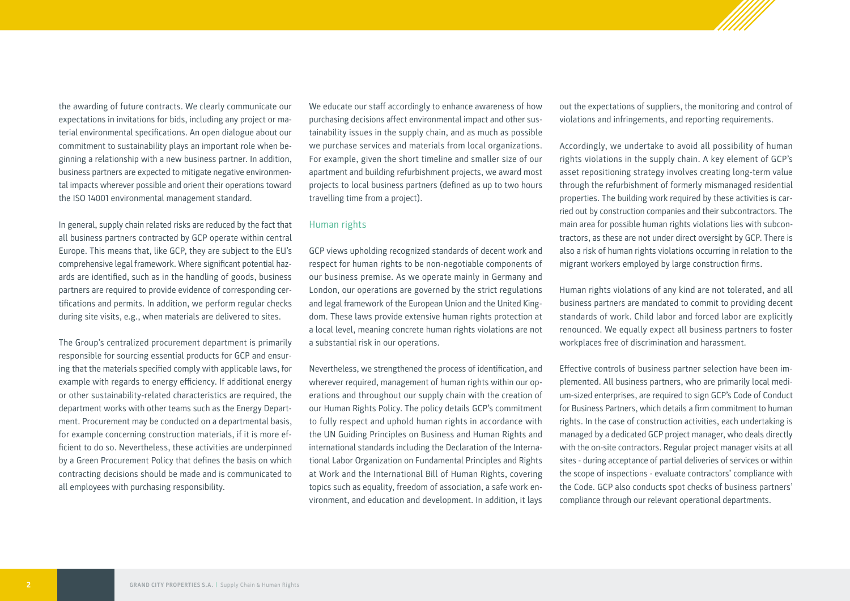the awarding of future contracts. We clearly communicate our expectations in invitations for bids, including any project or material environmental specifications. An open dialogue about our commitment to sustainability plays an important role when beginning a relationship with a new business partner. In addition, business partners are expected to mitigate negative environmental impacts wherever possible and orient their operations toward the ISO 14001 environmental management standard.

In general, supply chain related risks are reduced by the fact that all business partners contracted by GCP operate within central Europe. This means that, like GCP, they are subject to the EU's comprehensive legal framework. Where significant potential hazards are identified, such as in the handling of goods, business partners are required to provide evidence of corresponding certifications and permits. In addition, we perform regular checks during site visits, e.g., when materials are delivered to sites.

The Group's centralized procurement department is primarily responsible for sourcing essential products for GCP and ensuring that the materials specified comply with applicable laws, for example with regards to energy efficiency. If additional energy or other sustainability-related characteristics are required, the department works with other teams such as the Energy Department. Procurement may be conducted on a departmental basis, for example concerning construction materials, if it is more efficient to do so. Nevertheless, these activities are underpinned by a Green Procurement Policy that defines the basis on which contracting decisions should be made and is communicated to all employees with purchasing responsibility.

We educate our staff accordingly to enhance awareness of how purchasing decisions affect environmental impact and other sustainability issues in the supply chain, and as much as possible we purchase services and materials from local organizations. For example, given the short timeline and smaller size of our apartment and building refurbishment projects, we award most projects to local business partners (defined as up to two hours travelling time from a project).

#### Human rights

GCP views upholding recognized standards of decent work and respect for human rights to be non-negotiable components of our business premise. As we operate mainly in Germany and London, our operations are governed by the strict regulations and legal framework of the European Union and the United Kingdom. These laws provide extensive human rights protection at a local level, meaning concrete human rights violations are not a substantial risk in our operations.

Nevertheless, we strengthened the process of identification, and wherever required, management of human rights within our operations and throughout our supply chain with the creation of our Human Rights Policy. The policy details GCP's commitment to fully respect and uphold human rights in accordance with the UN Guiding Principles on Business and Human Rights and international standards including the Declaration of the International Labor Organization on Fundamental Principles and Rights at Work and the International Bill of Human Rights, covering topics such as equality, freedom of association, a safe work environment, and education and development. In addition, it lays

out the expectations of suppliers, the monitoring and control of violations and infringements, and reporting requirements.

Accordingly, we undertake to avoid all possibility of human rights violations in the supply chain. A key element of GCP's asset repositioning strategy involves creating long-term value through the refurbishment of formerly mismanaged residential properties. The building work required by these activities is carried out by construction companies and their subcontractors. The main area for possible human rights violations lies with subcontractors, as these are not under direct oversight by GCP. There is also a risk of human rights violations occurring in relation to the migrant workers employed by large construction firms.

Human rights violations of any kind are not tolerated, and all business partners are mandated to commit to providing decent standards of work. Child labor and forced labor are explicitly renounced. We equally expect all business partners to foster workplaces free of discrimination and harassment.

Effective controls of business partner selection have been implemented. All business partners, who are primarily local medium-sized enterprises, are required to sign GCP's Code of Conduct for Business Partners, which details a firm commitment to human rights. In the case of construction activities, each undertaking is managed by a dedicated GCP project manager, who deals directly with the on-site contractors. Regular project manager visits at all sites - during acceptance of partial deliveries of services or within the scope of inspections - evaluate contractors' compliance with the Code. GCP also conducts spot checks of business partners' compliance through our relevant operational departments.